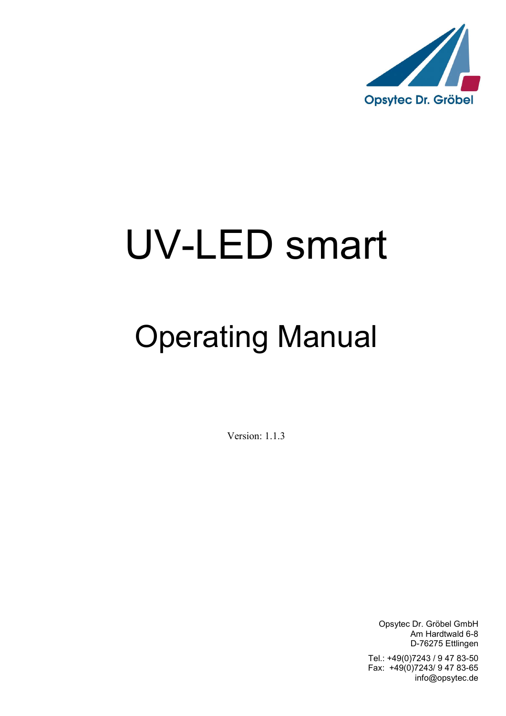

# UV-LED smart

## Operating Manual

Version: 1.1.3

Opsytec Dr. Gröbel GmbH Am Hardtwald 6-8 D-76275 Ettlingen

Tel.: +49(0)7243 / 9 47 83-50 Fax: +49(0)7243/ 9 47 83-65 info@opsytec.de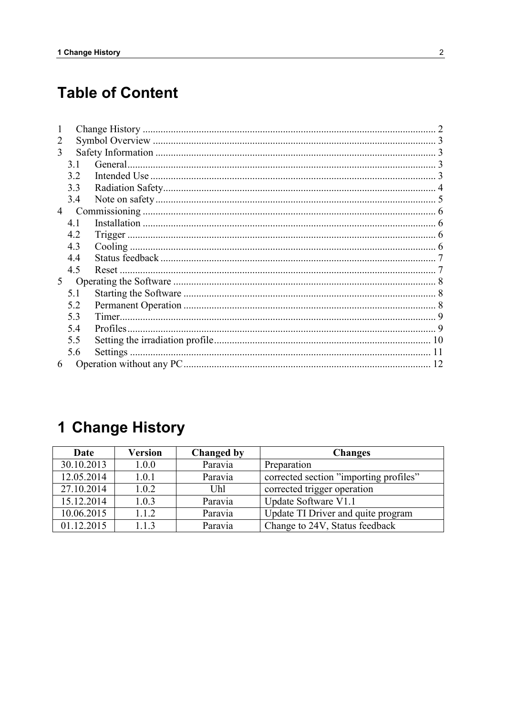## **Table of Content**

| 2              |     |  |
|----------------|-----|--|
| 3              |     |  |
|                | 3.1 |  |
|                | 3.2 |  |
|                | 3.3 |  |
|                | 3.4 |  |
| $\overline{4}$ |     |  |
|                | 4.1 |  |
|                | 4.2 |  |
|                | 4.3 |  |
|                | 4.4 |  |
|                | 4.5 |  |
| 5              |     |  |
|                | 5.1 |  |
|                | 5.2 |  |
|                | 5.3 |  |
|                | 5.4 |  |
|                | 5.5 |  |
|                | 5.6 |  |
| 6              |     |  |

## 1 Change History

| Date       | Version | <b>Changed by</b> | <b>Changes</b>                         |
|------------|---------|-------------------|----------------------------------------|
| 30.10.2013 | 1.0.0   | Paravia           | Preparation                            |
| 12.05.2014 | 1.0.1   | Paravia           | corrected section "importing profiles" |
| 27.10.2014 | 1.0.2   | Uhl               | corrected trigger operation            |
| 15.12.2014 | 1.0.3   | Paravia           | Update Software V1.1                   |
| 10.06.2015 | 1.1.2   | Paravia           | Update TI Driver and quite program     |
| 01.12.2015 | 1.1.3   | Paravia           | Change to 24V, Status feedback         |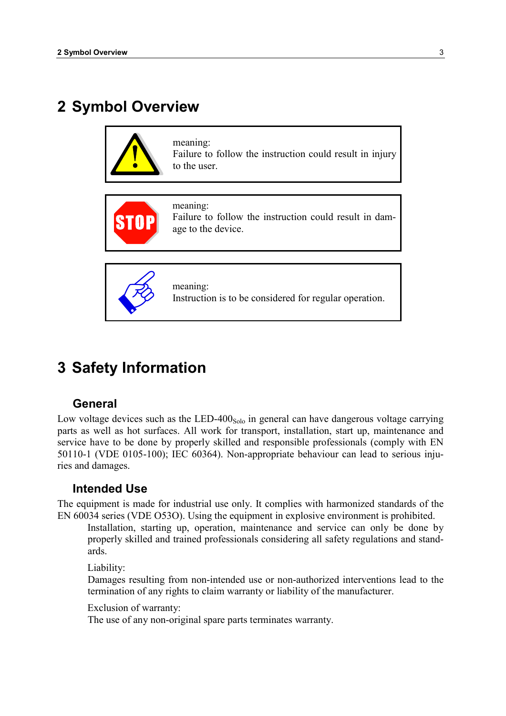## 2 Symbol Overview





age to the device.

meaning: Instruction is to be considered for regular operation.

## 3 Safety Information

#### General

Low voltage devices such as the LED-400 $_{Solo}$  in general can have dangerous voltage carrying parts as well as hot surfaces. All work for transport, installation, start up, maintenance and service have to be done by properly skilled and responsible professionals (comply with EN 50110-1 (VDE 0105-100); IEC 60364). Non-appropriate behaviour can lead to serious injuries and damages.

#### Intended Use

The equipment is made for industrial use only. It complies with harmonized standards of the EN 60034 series (VDE O53O). Using the equipment in explosive environment is prohibited.

Installation, starting up, operation, maintenance and service can only be done by properly skilled and trained professionals considering all safety regulations and standards.

Liability:

Damages resulting from non-intended use or non-authorized interventions lead to the termination of any rights to claim warranty or liability of the manufacturer.

Exclusion of warranty:

The use of any non-original spare parts terminates warranty.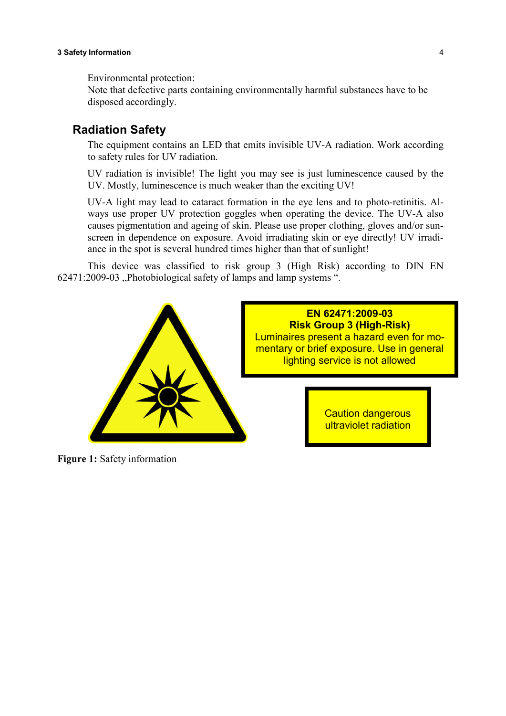Environmental protection:

Note that defective parts containing environmentally harmful substances have to be disposed accordingly.

#### Radiation Safety

The equipment contains an LED that emits invisible UV-A radiation. Work according to safety rules for UV radiation.

UV radiation is invisible! The light you may see is just luminescence caused by the UV. Mostly, luminescence is much weaker than the exciting UV!

UV-A light may lead to cataract formation in the eye lens and to photo-retinitis. Always use proper UV protection goggles when operating the device. The UV-A also causes pigmentation and ageing of skin. Please use proper clothing, gloves and/or sunscreen in dependence on exposure. Avoid irradiating skin or eye directly! UV irradiance in the spot is several hundred times higher than that of sunlight!

This device was classified to risk group 3 (High Risk) according to DIN EN 62471:2009-03 , Photobiological safety of lamps and lamp systems ".



Figure 1: Safety information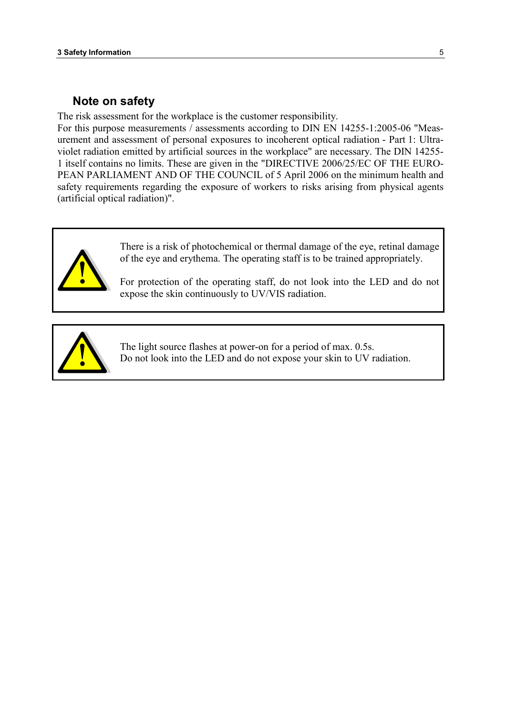#### Note on safety

The risk assessment for the workplace is the customer responsibility.

For this purpose measurements / assessments according to DIN EN 14255-1:2005-06 "Measurement and assessment of personal exposures to incoherent optical radiation - Part 1: Ultraviolet radiation emitted by artificial sources in the workplace" are necessary. The DIN 14255- 1 itself contains no limits. These are given in the "DIRECTIVE 2006/25/EC OF THE EURO-PEAN PARLIAMENT AND OF THE COUNCIL of 5 April 2006 on the minimum health and safety requirements regarding the exposure of workers to risks arising from physical agents (artificial optical radiation)".



There is a risk of photochemical or thermal damage of the eye, retinal damage of the eye and erythema. The operating staff is to be trained appropriately.

For protection of the operating staff, do not look into the LED and do not expose the skin continuously to UV/VIS radiation.



The light source flashes at power-on for a period of max. 0.5s. Do not look into the LED and do not expose your skin to UV radiation.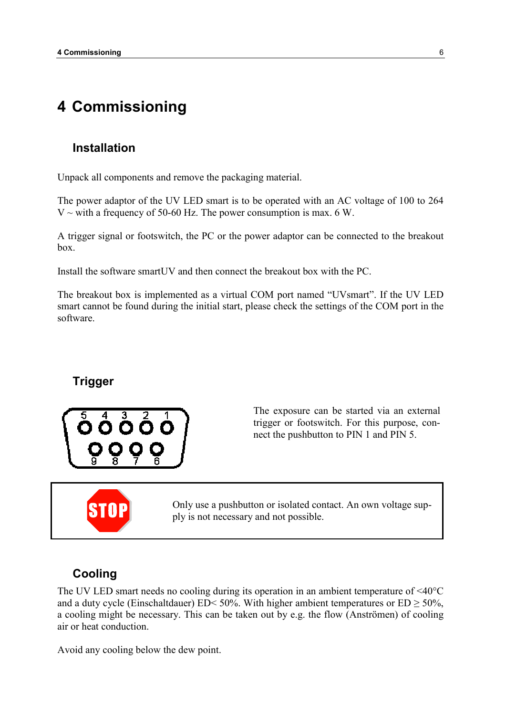### 4 Commissioning

#### Installation

Unpack all components and remove the packaging material.

The power adaptor of the UV LED smart is to be operated with an AC voltage of 100 to 264  $V \sim$  with a frequency of 50-60 Hz. The power consumption is max. 6 W.

A trigger signal or footswitch, the PC or the power adaptor can be connected to the breakout box.

Install the software smartUV and then connect the breakout box with the PC.

The breakout box is implemented as a virtual COM port named "UVsmart". If the UV LED smart cannot be found during the initial start, please check the settings of the COM port in the software.

#### Trigger



The exposure can be started via an external trigger or footswitch. For this purpose, connect the pushbutton to PIN 1 and PIN 5.

Only use a pushbutton or isolated contact. An own voltage supply is not necessary and not possible.

#### Cooling

The UV LED smart needs no cooling during its operation in an ambient temperature of <40°C and a duty cycle (Einschaltdauer) ED< 50%. With higher ambient temperatures or  $ED \ge 50\%$ , a cooling might be necessary. This can be taken out by e.g. the flow (Anströmen) of cooling air or heat conduction.

Avoid any cooling below the dew point.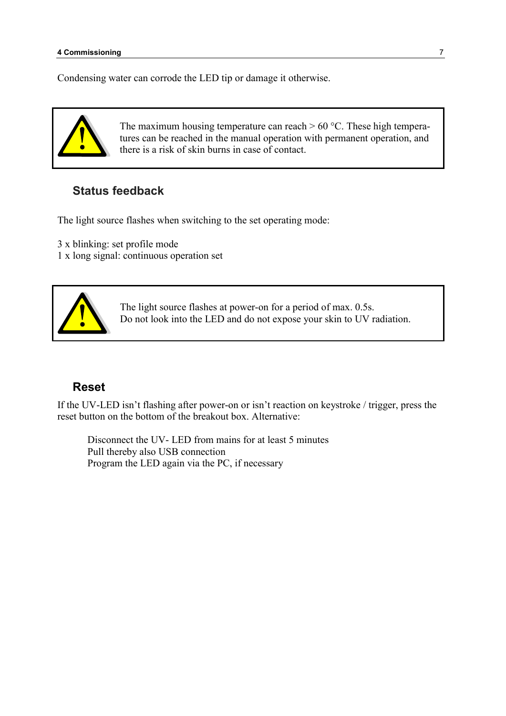Condensing water can corrode the LED tip or damage it otherwise.



The maximum housing temperature can reach  $> 60$  °C. These high temperatures can be reached in the manual operation with permanent operation, and there is a risk of skin burns in case of contact.

#### Status feedback

The light source flashes when switching to the set operating mode:

3 x blinking: set profile mode

1 x long signal: continuous operation set



The light source flashes at power-on for a period of max. 0.5s. Do not look into the LED and do not expose your skin to UV radiation.

#### Reset

If the UV-LED isn't flashing after power-on or isn't reaction on keystroke / trigger, press the reset button on the bottom of the breakout box. Alternative:

Disconnect the UV- LED from mains for at least 5 minutes Pull thereby also USB connection Program the LED again via the PC, if necessary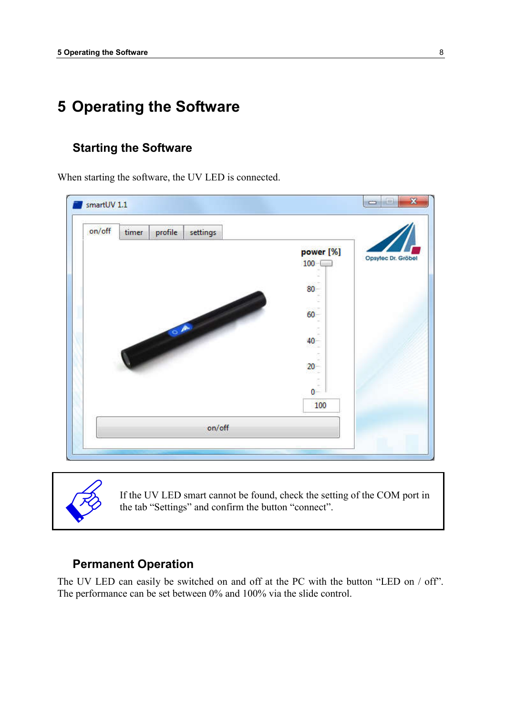## 5 Operating the Software

#### Starting the Software

When starting the software, the UV LED is connected.





If the UV LED smart cannot be found, check the setting of the COM port in the tab "Settings" and confirm the button "connect".

#### Permanent Operation

The UV LED can easily be switched on and off at the PC with the button "LED on / off". The performance can be set between 0% and 100% via the slide control.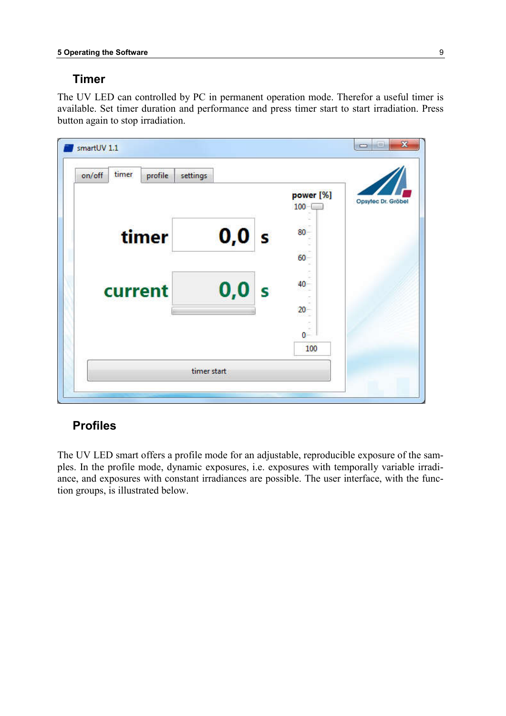#### Timer

The UV LED can controlled by PC in permanent operation mode. Therefor a useful timer is available. Set timer duration and performance and press timer start to start irradiation. Press button again to stop irradiation.



#### Profiles

The UV LED smart offers a profile mode for an adjustable, reproducible exposure of the samples. In the profile mode, dynamic exposures, i.e. exposures with temporally variable irradiance, and exposures with constant irradiances are possible. The user interface, with the function groups, is illustrated below.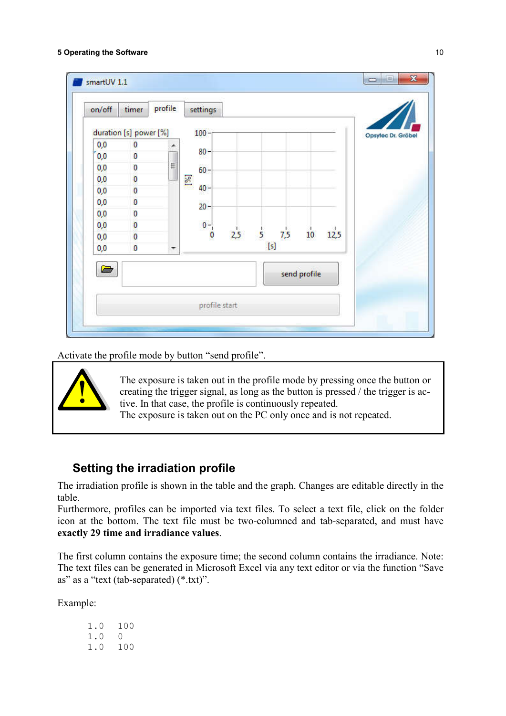| on/off   | timer                  | profile | settings        |     |   |     |              |      |                    |
|----------|------------------------|---------|-----------------|-----|---|-----|--------------|------|--------------------|
|          | duration [s] power [%] |         | 100             |     |   |     |              |      | Opsylec Dr. Gröbel |
| 0,0      | 0                      | ▲       |                 |     |   |     |              |      |                    |
| 0,0      | 0                      |         | $80 -$<br>35.67 |     |   |     |              |      |                    |
| $_{0,0}$ | 0                      | E       | $60 -$          |     |   |     |              |      |                    |
| $_{0,0}$ | $\overline{0}$         |         | $\mathbb{Z}$    |     |   |     |              |      |                    |
| 0,0      | $\mathbf 0$            |         | $40 -$          |     |   |     |              |      |                    |
| 0,0      | 0                      |         | $20 -$          |     |   |     |              |      |                    |
| 0,0      | $\bf{0}$               |         |                 |     |   |     |              |      |                    |
| 0,0      | 0                      |         | $0 -$           |     |   |     |              |      |                    |
| 0,0      | 0                      |         | $\bf{0}$        | 2,5 | 5 | 7,5 | 10           | 12,5 |                    |
| 0,0      | $\bf{0}$               | ۳       |                 |     |   | [s] |              |      |                    |
| è        |                        |         |                 |     |   |     | send profile |      |                    |
|          |                        |         |                 |     |   |     |              |      |                    |
|          |                        |         | profile start   |     |   |     |              |      |                    |

Activate the profile mode by button "send profile".



The exposure is taken out in the profile mode by pressing once the button or creating the trigger signal, as long as the button is pressed / the trigger is active. In that case, the profile is continuously repeated.

The exposure is taken out on the PC only once and is not repeated.

#### Setting the irradiation profile

The irradiation profile is shown in the table and the graph. Changes are editable directly in the table.

Furthermore, profiles can be imported via text files. To select a text file, click on the folder icon at the bottom. The text file must be two-columned and tab-separated, and must have exactly 29 time and irradiance values.

The first column contains the exposure time; the second column contains the irradiance. Note: The text files can be generated in Microsoft Excel via any text editor or via the function "Save as" as a "text (tab-separated) (\*.txt)".

Example:

| 1.0 | 100      |
|-----|----------|
| 1.0 | $\Omega$ |
| 1.0 | 100      |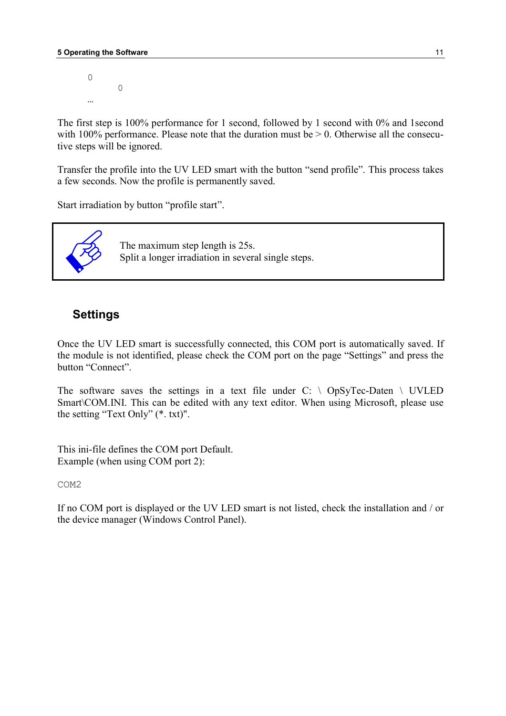$\Omega$  0 …

The first step is 100% performance for 1 second, followed by 1 second with 0% and 1second with  $100\%$  performance. Please note that the duration must be  $> 0$ . Otherwise all the consecutive steps will be ignored.

Transfer the profile into the UV LED smart with the button "send profile". This process takes a few seconds. Now the profile is permanently saved.

Start irradiation by button "profile start".



The maximum step length is 25s. Split a longer irradiation in several single steps.

#### Settings

Once the UV LED smart is successfully connected, this COM port is automatically saved. If the module is not identified, please check the COM port on the page "Settings" and press the button "Connect".

The software saves the settings in a text file under  $C: \setminus$  OpSyTec-Daten  $\setminus$  UVLED Smart\COM.INI. This can be edited with any text editor. When using Microsoft, please use the setting "Text Only" (\*. txt)".

This ini-file defines the COM port Default. Example (when using COM port 2):

COM2

If no COM port is displayed or the UV LED smart is not listed, check the installation and / or the device manager (Windows Control Panel).